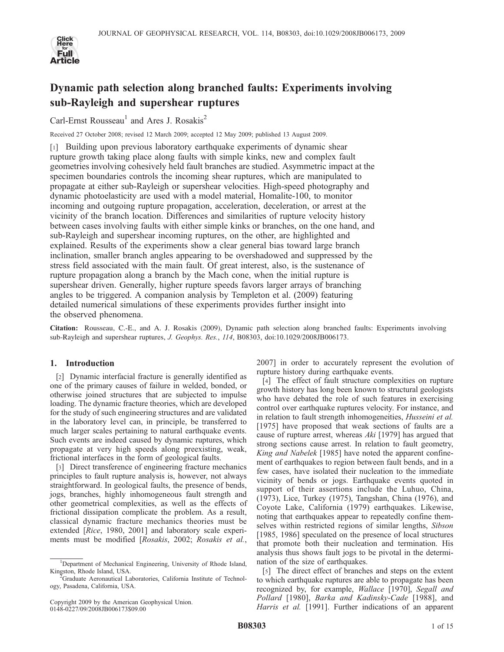

# Dynamic path selection along branched faults: Experiments involving sub-Rayleigh and supershear ruptures

Carl-Ernst Rousseau<sup>1</sup> and Ares J. Rosakis<sup>2</sup>

Received 27 October 2008; revised 12 March 2009; accepted 12 May 2009; published 13 August 2009.

[1] Building upon previous laboratory earthquake experiments of dynamic shear rupture growth taking place along faults with simple kinks, new and complex fault geometries involving cohesively held fault branches are studied. Asymmetric impact at the specimen boundaries controls the incoming shear ruptures, which are manipulated to propagate at either sub-Rayleigh or supershear velocities. High-speed photography and dynamic photoelasticity are used with a model material, Homalite-100, to monitor incoming and outgoing rupture propagation, acceleration, deceleration, or arrest at the vicinity of the branch location. Differences and similarities of rupture velocity history between cases involving faults with either simple kinks or branches, on the one hand, and sub-Rayleigh and supershear incoming ruptures, on the other, are highlighted and explained. Results of the experiments show a clear general bias toward large branch inclination, smaller branch angles appearing to be overshadowed and suppressed by the stress field associated with the main fault. Of great interest, also, is the sustenance of rupture propagation along a branch by the Mach cone, when the initial rupture is supershear driven. Generally, higher rupture speeds favors larger arrays of branching angles to be triggered. A companion analysis by Templeton et al. (2009) featuring detailed numerical simulations of these experiments provides further insight into the observed phenomena.

Citation: Rousseau, C.-E., and A. J. Rosakis (2009), Dynamic path selection along branched faults: Experiments involving sub-Rayleigh and supershear ruptures, J. Geophys. Res., 114, B08303, doi:10.1029/2008JB006173.

# 1. Introduction

[2] Dynamic interfacial fracture is generally identified as one of the primary causes of failure in welded, bonded, or otherwise joined structures that are subjected to impulse loading. The dynamic fracture theories, which are developed for the study of such engineering structures and are validated in the laboratory level can, in principle, be transferred to much larger scales pertaining to natural earthquake events. Such events are indeed caused by dynamic ruptures, which propagate at very high speeds along preexisting, weak, frictional interfaces in the form of geological faults.

[3] Direct transference of engineering fracture mechanics principles to fault rupture analysis is, however, not always straightforward. In geological faults, the presence of bends, jogs, branches, highly inhomogeneous fault strength and other geometrical complexities, as well as the effects of frictional dissipation complicate the problem. As a result, classical dynamic fracture mechanics theories must be extended [Rice, 1980, 2001] and laboratory scale experiments must be modified [Rosakis, 2002; Rosakis et al.,

2007] in order to accurately represent the evolution of rupture history during earthquake events.

[4] The effect of fault structure complexities on rupture growth history has long been known to structural geologists who have debated the role of such features in exercising control over earthquake ruptures velocity. For instance, and in relation to fault strength inhomogeneities, Husseini et al. [1975] have proposed that weak sections of faults are a cause of rupture arrest, whereas Aki [1979] has argued that strong sections cause arrest. In relation to fault geometry, King and Nabelek [1985] have noted the apparent confinement of earthquakes to region between fault bends, and in a few cases, have isolated their nucleation to the immediate vicinity of bends or jogs. Earthquake events quoted in support of their assertions include the Luhuo, China, (1973), Lice, Turkey (1975), Tangshan, China (1976), and Coyote Lake, California (1979) earthquakes. Likewise, noting that earthquakes appear to repeatedly confine themselves within restricted regions of similar lengths, Sibson [1985, 1986] speculated on the presence of local structures that promote both their nucleation and termination. His analysis thus shows fault jogs to be pivotal in the determination of the size of earthquakes.

[5] The direct effect of branches and steps on the extent to which earthquake ruptures are able to propagate has been recognized by, for example, Wallace [1970], Segall and Pollard [1980], Barka and Kadinsky-Cade [1988], and Harris et al. [1991]. Further indications of an apparent

<sup>&</sup>lt;sup>1</sup>Department of Mechanical Engineering, University of Rhode Island, Kingston, Rhode Island, USA. <sup>2</sup>

Graduate Aeronautical Laboratories, California Institute of Technology, Pasadena, California, USA.

Copyright 2009 by the American Geophysical Union. 0148-0227/09/2008JB006173\$09.00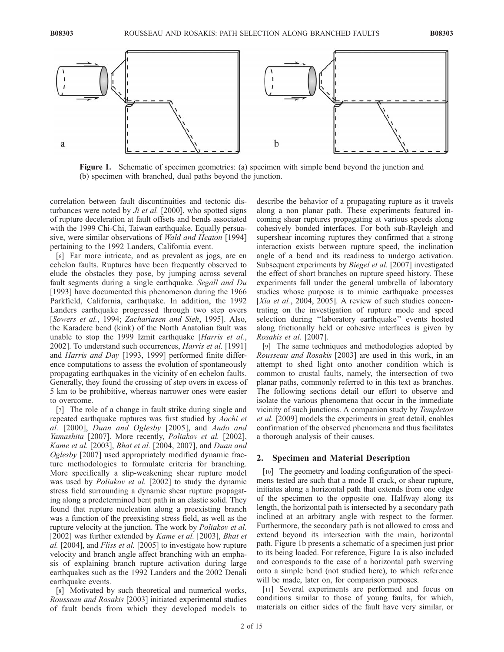

Figure 1. Schematic of specimen geometries: (a) specimen with simple bend beyond the junction and (b) specimen with branched, dual paths beyond the junction.

correlation between fault discontinuities and tectonic disturbances were noted by  $J_i$  et al. [2000], who spotted signs of rupture deceleration at fault offsets and bends associated with the 1999 Chi-Chi, Taiwan earthquake. Equally persuasive, were similar observations of Wald and Heaton [1994] pertaining to the 1992 Landers, California event.

[6] Far more intricate, and as prevalent as jogs, are en echelon faults. Ruptures have been frequently observed to elude the obstacles they pose, by jumping across several fault segments during a single earthquake. Segall and Du [1993] have documented this phenomenon during the 1966 Parkfield, California, earthquake. In addition, the 1992 Landers earthquake progressed through two step overs [Sowers et al., 1994; Zachariasen and Sieh, 1995]. Also, the Karadere bend (kink) of the North Anatolian fault was unable to stop the 1999 Izmit earthquake [Harris et al., 2002]. To understand such occurrences, Harris et al. [1991] and *Harris and Day* [1993, 1999] performed finite difference computations to assess the evolution of spontaneously propagating earthquakes in the vicinity of en echelon faults. Generally, they found the crossing of step overs in excess of 5 km to be prohibitive, whereas narrower ones were easier to overcome.

[7] The role of a change in fault strike during single and repeated earthquake ruptures was first studied by Aochi et al. [2000], Duan and Oglesby [2005], and Ando and Yamashita [2007]. More recently, Poliakov et al. [2002], Kame et al. [2003], Bhat et al. [2004, 2007], and Duan and Oglesby [2007] used appropriately modified dynamic fracture methodologies to formulate criteria for branching. More specifically a slip-weakening shear rupture model was used by *Poliakov et al.* [2002] to study the dynamic stress field surrounding a dynamic shear rupture propagating along a predetermined bent path in an elastic solid. They found that rupture nucleation along a preexisting branch was a function of the preexisting stress field, as well as the rupture velocity at the junction. The work by *Poliakov et al.* [2002] was further extended by *Kame et al.* [2003], *Bhat et* al. [2004], and Fliss et al. [2005] to investigate how rupture velocity and branch angle affect branching with an emphasis of explaining branch rupture activation during large earthquakes such as the 1992 Landers and the 2002 Denali earthquake events.

[8] Motivated by such theoretical and numerical works, Rousseau and Rosakis [2003] initiated experimental studies of fault bends from which they developed models to describe the behavior of a propagating rupture as it travels along a non planar path. These experiments featured incoming shear ruptures propagating at various speeds along cohesively bonded interfaces. For both sub-Rayleigh and supershear incoming ruptures they confirmed that a strong interaction exists between rupture speed, the inclination angle of a bend and its readiness to undergo activation. Subsequent experiments by Biegel et al. [2007] investigated the effect of short branches on rupture speed history. These experiments fall under the general umbrella of laboratory studies whose purpose is to mimic earthquake processes [Xia et al., 2004, 2005]. A review of such studies concentrating on the investigation of rupture mode and speed selection during ''laboratory earthquake'' events hosted along frictionally held or cohesive interfaces is given by Rosakis et al. [2007].

[9] The same techniques and methodologies adopted by Rousseau and Rosakis [2003] are used in this work, in an attempt to shed light onto another condition which is common to crustal faults, namely, the intersection of two planar paths, commonly referred to in this text as branches. The following sections detail our effort to observe and isolate the various phenomena that occur in the immediate vicinity of such junctions. A companion study by Templeton et al. [2009] models the experiments in great detail, enables confirmation of the observed phenomena and thus facilitates a thorough analysis of their causes.

#### 2. Specimen and Material Description

[10] The geometry and loading configuration of the specimens tested are such that a mode II crack, or shear rupture, initiates along a horizontal path that extends from one edge of the specimen to the opposite one. Halfway along its length, the horizontal path is intersected by a secondary path inclined at an arbitrary angle with respect to the former. Furthermore, the secondary path is not allowed to cross and extend beyond its intersection with the main, horizontal path. Figure 1b presents a schematic of a specimen just prior to its being loaded. For reference, Figure 1a is also included and corresponds to the case of a horizontal path swerving onto a simple bend (not studied here), to which reference will be made, later on, for comparison purposes.

[11] Several experiments are performed and focus on conditions similar to those of young faults, for which, materials on either sides of the fault have very similar, or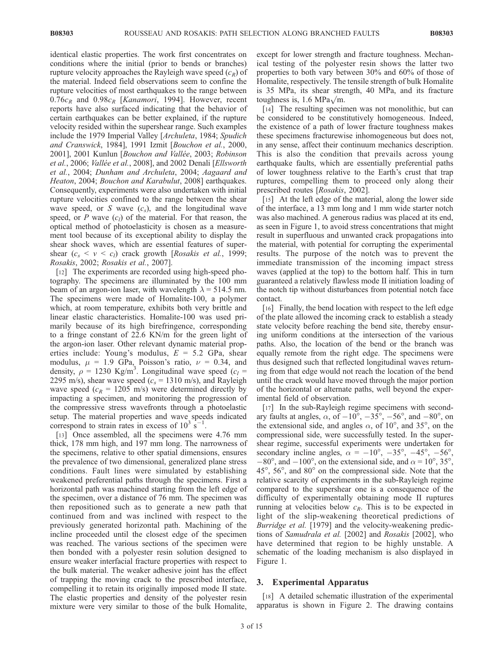identical elastic properties. The work first concentrates on conditions where the initial (prior to bends or branches) rupture velocity approaches the Rayleigh wave speed  $(c_R)$  of the material. Indeed field observations seem to confine the rupture velocities of most earthquakes to the range between  $0.76c_R$  and  $0.98c_R$  [*Kanamori*, 1994]. However, recent reports have also surfaced indicating that the behavior of certain earthquakes can be better explained, if the rupture velocity resided within the supershear range. Such examples include the 1979 Imperial Valley [Archuleta, 1984; Spudich and Cranswick, 1984], 1991 Izmit [Bouchon et al., 2000, 2001], 2001 Kunlun [Bouchon and Vallée, 2003; Robinson et al., 2006; Vallée et al., 2008], and 2002 Denali [Ellsworth et al., 2004; Dunham and Archuleta, 2004; Aagaard and Heaton, 2004; Bouchon and Karabulut, 2008] earthquakes. Consequently, experiments were also undertaken with initial rupture velocities confined to the range between the shear wave speed, or S wave  $(c_s)$ , and the longitudinal wave speed, or  $P$  wave  $(c_l)$  of the material. For that reason, the optical method of photoelasticity is chosen as a measurement tool because of its exceptional ability to display the shear shock waves, which are essential features of supershear  $(c_s < v < c_l)$  crack growth [Rosakis et al., 1999; Rosakis, 2002; Rosakis et al., 2007].

[12] The experiments are recorded using high-speed photography. The specimens are illuminated by the 100 mm beam of an argon-ion laser, with wavelength  $\lambda$  = 514.5 nm. The specimens were made of Homalite-100, a polymer which, at room temperature, exhibits both very brittle and linear elastic characteristics. Homalite-100 was used primarily because of its high birefringence, corresponding to a fringe constant of 22.6 KN/m for the green light of the argon-ion laser. Other relevant dynamic material properties include: Young's modulus,  $E = 5.2$  GPa, shear modulus,  $\mu = 1.9$  GPa, Poisson's ratio,  $\nu = 0.34$ , and density,  $\rho = 1230 \text{ Kg/m}^3$ . Longitudinal wave speed  $(c_l =$ 2295 m/s), shear wave speed ( $c_s$  = 1310 m/s), and Rayleigh wave speed ( $c_R = 1205$  m/s) were determined directly by impacting a specimen, and monitoring the progression of the compressive stress wavefronts through a photoelastic setup. The material properties and wave speeds indicated correspond to strain rates in excess of  $10^3$  s<sup>-1</sup> .

[13] Once assembled, all the specimens were 4.76 mm thick, 178 mm high, and 197 mm long. The narrowness of the specimens, relative to other spatial dimensions, ensures the prevalence of two dimensional, generalized plane stress conditions. Fault lines were simulated by establishing weakened preferential paths through the specimens. First a horizontal path was machined starting from the left edge of the specimen, over a distance of 76 mm. The specimen was then repositioned such as to generate a new path that continued from and was inclined with respect to the previously generated horizontal path. Machining of the incline proceeded until the closest edge of the specimen was reached. The various sections of the specimen were then bonded with a polyester resin solution designed to ensure weaker interfacial fracture properties with respect to the bulk material. The weaker adhesive joint has the effect of trapping the moving crack to the prescribed interface, compelling it to retain its originally imposed mode II state. The elastic properties and density of the polyester resin mixture were very similar to those of the bulk Homalite,

except for lower strength and fracture toughness. Mechanical testing of the polyester resin shows the latter two properties to both vary between 30% and 60% of those of Homalite, respectively. The tensile strength of bulk Homalite is 35 MPa, its shear strength, 40 MPa, and its fracture toughness is, 1.6 MPa $\sqrt{m}$ .

[14] The resulting specimen was not monolithic, but can be considered to be constitutively homogeneous. Indeed, the existence of a path of lower fracture toughness makes these specimens fracturewise inhomogeneous but does not, in any sense, affect their continuum mechanics description. This is also the condition that prevails across young earthquake faults, which are essentially preferential paths of lower toughness relative to the Earth's crust that trap ruptures, compelling them to proceed only along their prescribed routes [Rosakis, 2002].

[15] At the left edge of the material, along the lower side of the interface, a 13 mm long and 1 mm wide starter notch was also machined. A generous radius was placed at its end, as seen in Figure 1, to avoid stress concentrations that might result in superfluous and unwanted crack propagations into the material, with potential for corrupting the experimental results. The purpose of the notch was to prevent the immediate transmission of the incoming impact stress waves (applied at the top) to the bottom half. This in turn guaranteed a relatively flawless mode II initiation loading of the notch tip without disturbances from potential notch face contact.

[16] Finally, the bend location with respect to the left edge of the plate allowed the incoming crack to establish a steady state velocity before reaching the bend site, thereby ensuring uniform conditions at the intersection of the various paths. Also, the location of the bend or the branch was equally remote from the right edge. The specimens were thus designed such that reflected longitudinal waves returning from that edge would not reach the location of the bend until the crack would have moved through the major portion of the horizontal or alternate paths, well beyond the experimental field of observation.

[17] In the sub-Rayleigh regime specimens with secondary faults at angles,  $\alpha$ , of  $-10^{\circ}$ ,  $-35^{\circ}$ ,  $-56^{\circ}$ , and  $-80^{\circ}$ , on the extensional side, and angles  $\alpha$ , of 10°, and 35°, on the compressional side, were successfully tested. In the supershear regime, successful experiments were undertaken for secondary incline angles,  $\alpha = -10^{\circ}, -35^{\circ}, -45^{\circ}, -56^{\circ}$ ,  $-80^{\circ}$ , and  $-100^{\circ}$ , on the extensional side, and  $\alpha = 10^{\circ}$ , 35°,  $45^\circ$ ,  $56^\circ$ , and  $80^\circ$  on the compressional side. Note that the relative scarcity of experiments in the sub-Rayleigh regime compared to the supershear one is a consequence of the difficulty of experimentally obtaining mode II ruptures running at velocities below  $c_R$ . This is to be expected in light of the slip-weakening theoretical predictions of Burridge et al. [1979] and the velocity-weakening predictions of Samudrala et al. [2002] and Rosakis [2002], who have determined that region to be highly unstable. A schematic of the loading mechanism is also displayed in Figure 1.

#### 3. Experimental Apparatus

[18] A detailed schematic illustration of the experimental apparatus is shown in Figure 2. The drawing contains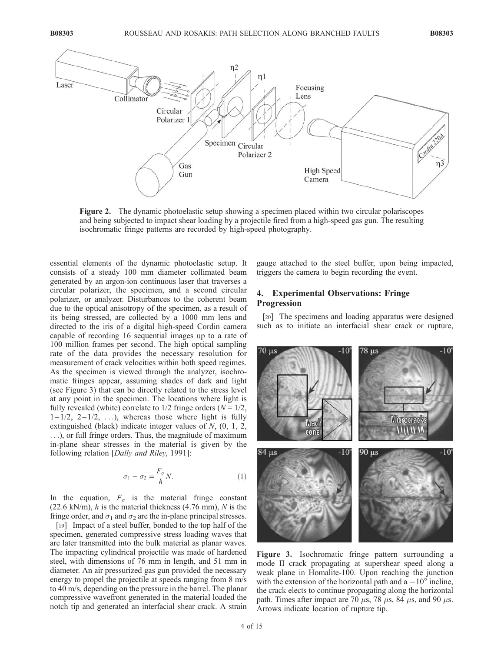

Figure 2. The dynamic photoelastic setup showing a specimen placed within two circular polariscopes and being subjected to impact shear loading by a projectile fired from a high-speed gas gun. The resulting isochromatic fringe patterns are recorded by high-speed photography.

essential elements of the dynamic photoelastic setup. It consists of a steady 100 mm diameter collimated beam generated by an argon-ion continuous laser that traverses a circular polarizer, the specimen, and a second circular polarizer, or analyzer. Disturbances to the coherent beam due to the optical anisotropy of the specimen, as a result of its being stressed, are collected by a 1000 mm lens and directed to the iris of a digital high-speed Cordin camera capable of recording 16 sequential images up to a rate of 100 million frames per second. The high optical sampling rate of the data provides the necessary resolution for measurement of crack velocities within both speed regimes. As the specimen is viewed through the analyzer, isochromatic fringes appear, assuming shades of dark and light (see Figure 3) that can be directly related to the stress level at any point in the specimen. The locations where light is fully revealed (white) correlate to  $1/2$  fringe orders ( $N = 1/2$ ,  $1 - 1/2$ ,  $2 - 1/2$ , ...), whereas those where light is fully extinguished (black) indicate integer values of N, (0, 1, 2, ...), or full fringe orders. Thus, the magnitude of maximum in-plane shear stresses in the material is given by the following relation [Dally and Riley, 1991]:

$$
\sigma_1 - \sigma_2 = \frac{F_{\sigma}}{h} N. \tag{1}
$$

In the equation,  $F_{\sigma}$  is the material fringe constant (22.6 kN/m),  $h$  is the material thickness (4.76 mm),  $N$  is the fringe order, and  $\sigma_1$  and  $\sigma_2$  are the in-plane principal stresses.

[19] Impact of a steel buffer, bonded to the top half of the specimen, generated compressive stress loading waves that are later transmitted into the bulk material as planar waves. The impacting cylindrical projectile was made of hardened steel, with dimensions of 76 mm in length, and 51 mm in diameter. An air pressurized gas gun provided the necessary energy to propel the projectile at speeds ranging from 8 m/s to 40 m/s, depending on the pressure in the barrel. The planar compressive wavefront generated in the material loaded the notch tip and generated an interfacial shear crack. A strain gauge attached to the steel buffer, upon being impacted, triggers the camera to begin recording the event.

# 4. Experimental Observations: Fringe Progression

[20] The specimens and loading apparatus were designed such as to initiate an interfacial shear crack or rupture,



Figure 3. Isochromatic fringe pattern surrounding a mode II crack propagating at supershear speed along a weak plane in Homalite-100. Upon reaching the junction with the extension of the horizontal path and  $a - 10^{\circ}$  incline, the crack elects to continue propagating along the horizontal path. Times after impact are 70  $\mu$ s, 78  $\mu$ s, 84  $\mu$ s, and 90  $\mu$ s. Arrows indicate location of rupture tip.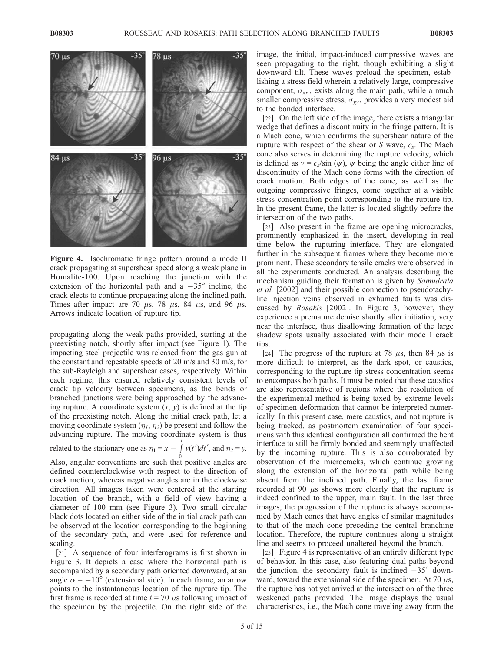

Figure 4. Isochromatic fringe pattern around a mode II crack propagating at supershear speed along a weak plane in Homalite-100. Upon reaching the junction with the extension of the horizontal path and a  $-35^\circ$  incline, the crack elects to continue propagating along the inclined path. Times after impact are 70  $\mu$ s, 78  $\mu$ s, 84  $\mu$ s, and 96  $\mu$ s. Arrows indicate location of rupture tip.

propagating along the weak paths provided, starting at the preexisting notch, shortly after impact (see Figure 1). The impacting steel projectile was released from the gas gun at the constant and repeatable speeds of 20 m/s and 30 m/s, for the sub-Rayleigh and supershear cases, respectively. Within each regime, this ensured relatively consistent levels of crack tip velocity between specimens, as the bends or branched junctions were being approached by the advancing rupture. A coordinate system  $(x, y)$  is defined at the tip of the preexisting notch. Along the initial crack path, let a moving coordinate system  $(\eta_1, \eta_2)$  be present and follow the advancing rupture. The moving coordinate system is thus

related to the stationary one as  $\eta_1 = x - \int_a^t v(t')dt'$ , and  $\eta_2 = y$ .

0 Also, angular conventions are such that positive angles are defined counterclockwise with respect to the direction of crack motion, whereas negative angles are in the clockwise direction. All images taken were centered at the starting location of the branch, with a field of view having a diameter of 100 mm (see Figure 3). Two small circular black dots located on either side of the initial crack path can be observed at the location corresponding to the beginning of the secondary path, and were used for reference and scaling.

[21] A sequence of four interferograms is first shown in Figure 3. It depicts a case where the horizontal path is accompanied by a secondary path oriented downward, at an angle  $\alpha = -10^{\circ}$  (extensional side). In each frame, an arrow points to the instantaneous location of the rupture tip. The first frame is recorded at time  $t = 70 \mu s$  following impact of the specimen by the projectile. On the right side of the

image, the initial, impact-induced compressive waves are seen propagating to the right, though exhibiting a slight downward tilt. These waves preload the specimen, establishing a stress field wherein a relatively large, compressive component,  $\sigma_{xx}$ , exists along the main path, while a much smaller compressive stress,  $\sigma_{vv}$ , provides a very modest aid to the bonded interface.

[22] On the left side of the image, there exists a triangular wedge that defines a discontinuity in the fringe pattern. It is a Mach cone, which confirms the supershear nature of the rupture with respect of the shear or  $S$  wave,  $c_s$ . The Mach cone also serves in determining the rupture velocity, which is defined as  $v = c_s / \sin (\psi)$ ,  $\psi$  being the angle either line of discontinuity of the Mach cone forms with the direction of crack motion. Both edges of the cone, as well as the outgoing compressive fringes, come together at a visible stress concentration point corresponding to the rupture tip. In the present frame, the latter is located slightly before the intersection of the two paths.

[23] Also present in the frame are opening microcracks, prominently emphasized in the insert, developing in real time below the rupturing interface. They are elongated further in the subsequent frames where they become more prominent. These secondary tensile cracks were observed in all the experiments conducted. An analysis describing the mechanism guiding their formation is given by Samudrala et al. [2002] and their possible connection to pseudotachylite injection veins observed in exhumed faults was discussed by Rosakis [2002]. In Figure 3, however, they experience a premature demise shortly after initiation, very near the interface, thus disallowing formation of the large shadow spots usually associated with their mode I crack tips.

[24] The progress of the rupture at 78  $\mu$ s, then 84  $\mu$ s is more difficult to interpret, as the dark spot, or caustics, corresponding to the rupture tip stress concentration seems to encompass both paths. It must be noted that these caustics are also representative of regions where the resolution of the experimental method is being taxed by extreme levels of specimen deformation that cannot be interpreted numerically. In this present case, mere caustics, and not rupture is being tracked, as postmortem examination of four specimens with this identical configuration all confirmed the bent interface to still be firmly bonded and seemingly unaffected by the incoming rupture. This is also corroborated by observation of the microcracks, which continue growing along the extension of the horizontal path while being absent from the inclined path. Finally, the last frame recorded at 90  $\mu$ s shows more clearly that the rupture is indeed confined to the upper, main fault. In the last three images, the progression of the rupture is always accompanied by Mach cones that have angles of similar magnitudes to that of the mach cone preceding the central branching location. Therefore, the rupture continues along a straight line and seems to proceed unaltered beyond the branch.

[25] Figure 4 is representative of an entirely different type of behavior. In this case, also featuring dual paths beyond the junction, the secondary fault is inclined  $-35^{\circ}$  downward, toward the extensional side of the specimen. At 70  $\mu$ s, the rupture has not yet arrived at the intersection of the three weakened paths provided. The image displays the usual characteristics, i.e., the Mach cone traveling away from the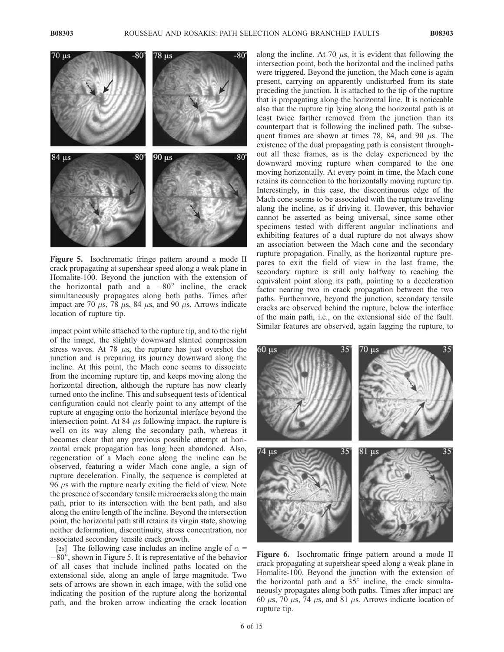

Figure 5. Isochromatic fringe pattern around a mode II crack propagating at supershear speed along a weak plane in Homalite-100. Beyond the junction with the extension of the horizontal path and a  $-80^\circ$  incline, the crack simultaneously propagates along both paths. Times after impact are 70  $\mu$ s, 78  $\mu$ s, 84  $\mu$ s, and 90  $\mu$ s. Arrows indicate location of rupture tip.

impact point while attached to the rupture tip, and to the right of the image, the slightly downward slanted compression stress waves. At 78  $\mu$ s, the rupture has just overshot the junction and is preparing its journey downward along the incline. At this point, the Mach cone seems to dissociate from the incoming rupture tip, and keeps moving along the horizontal direction, although the rupture has now clearly turned onto the incline. This and subsequent tests of identical configuration could not clearly point to any attempt of the rupture at engaging onto the horizontal interface beyond the intersection point. At 84  $\mu$ s following impact, the rupture is well on its way along the secondary path, whereas it becomes clear that any previous possible attempt at horizontal crack propagation has long been abandoned. Also, regeneration of a Mach cone along the incline can be observed, featuring a wider Mach cone angle, a sign of rupture deceleration. Finally, the sequence is completed at 96  $\mu$ s with the rupture nearly exiting the field of view. Note the presence of secondary tensile microcracks along the main path, prior to its intersection with the bent path, and also along the entire length of the incline. Beyond the intersection point, the horizontal path still retains its virgin state, showing neither deformation, discontinuity, stress concentration, nor associated secondary tensile crack growth.

[26] The following case includes an incline angle of  $\alpha$  =  $-80^\circ$ , shown in Figure 5. It is representative of the behavior of all cases that include inclined paths located on the extensional side, along an angle of large magnitude. Two sets of arrows are shown in each image, with the solid one indicating the position of the rupture along the horizontal path, and the broken arrow indicating the crack location

along the incline. At 70  $\mu$ s, it is evident that following the intersection point, both the horizontal and the inclined paths were triggered. Beyond the junction, the Mach cone is again present, carrying on apparently undisturbed from its state preceding the junction. It is attached to the tip of the rupture that is propagating along the horizontal line. It is noticeable also that the rupture tip lying along the horizontal path is at least twice farther removed from the junction than its counterpart that is following the inclined path. The subsequent frames are shown at times 78, 84, and 90  $\mu$ s. The existence of the dual propagating path is consistent throughout all these frames, as is the delay experienced by the downward moving rupture when compared to the one moving horizontally. At every point in time, the Mach cone retains its connection to the horizontally moving rupture tip. Interestingly, in this case, the discontinuous edge of the Mach cone seems to be associated with the rupture traveling along the incline, as if driving it. However, this behavior cannot be asserted as being universal, since some other specimens tested with different angular inclinations and exhibiting features of a dual rupture do not always show an association between the Mach cone and the secondary rupture propagation. Finally, as the horizontal rupture prepares to exit the field of view in the last frame, the secondary rupture is still only halfway to reaching the equivalent point along its path, pointing to a deceleration factor nearing two in crack propagation between the two paths. Furthermore, beyond the junction, secondary tensile cracks are observed behind the rupture, below the interface of the main path, i.e., on the extensional side of the fault. Similar features are observed, again lagging the rupture, to



Figure 6. Isochromatic fringe pattern around a mode II crack propagating at supershear speed along a weak plane in Homalite-100. Beyond the junction with the extension of the horizontal path and a  $35^\circ$  incline, the crack simultaneously propagates along both paths. Times after impact are 60  $\mu$ s, 70  $\mu$ s, 74  $\mu$ s, and 81  $\mu$ s. Arrows indicate location of rupture tip.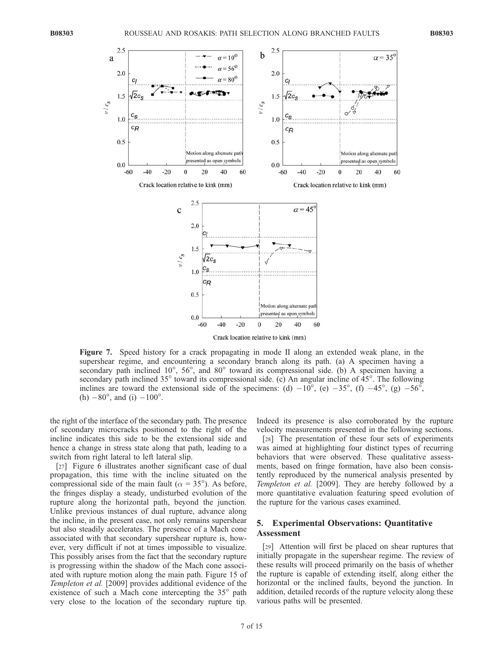

Figure 7. Speed history for a crack propagating in mode II along an extended weak plane, in the supershear regime, and encountering a secondary branch along its path. (a) A specimen having a secondary path inclined  $10^{\circ}$ ,  $56^{\circ}$ , and  $80^{\circ}$  toward its compressional side. (b) A specimen having a secondary path inclined  $35^\circ$  toward its compressional side. (c) An angular incline of  $45^\circ$ . The following inclines are toward the extensional side of the specimens: (d)  $-10^{\circ}$ , (e)  $-35^{\circ}$ , (f)  $-45^{\circ}$ , (g)  $-56^{\circ}$ , (h)  $-80^{\circ}$ , and (i)  $-100^{\circ}$ .

the right of the interface of the secondary path. The presence of secondary microcracks positioned to the right of the incline indicates this side to be the extensional side and hence a change in stress state along that path, leading to a switch from right lateral to left lateral slip.

[27] Figure 6 illustrates another significant case of dual propagation, this time with the incline situated on the compressional side of the main fault ( $\alpha = 35^{\circ}$ ). As before, the fringes display a steady, undisturbed evolution of the rupture along the horizontal path, beyond the junction. Unlike previous instances of dual rupture, advance along the incline, in the present case, not only remains supershear but also steadily accelerates. The presence of a Mach cone associated with that secondary supershear rupture is, however, very difficult if not at times impossible to visualize. This possibly arises from the fact that the secondary rupture is progressing within the shadow of the Mach cone associated with rupture motion along the main path. Figure 15 of Templeton et al. [2009] provides additional evidence of the existence of such a Mach cone intercepting the  $35^{\circ}$  path very close to the location of the secondary rupture tip.

Indeed its presence is also corroborated by the rupture velocity measurements presented in the following sections.

[28] The presentation of these four sets of experiments was aimed at highlighting four distinct types of recurring behaviors that were observed. These qualitative assessments, based on fringe formation, have also been consistently reproduced by the numerical analysis presented by Templeton et al. [2009]. They are hereby followed by a more quantitative evaluation featuring speed evolution of the rupture for the various cases examined.

### 5. Experimental Observations: Quantitative Assessment

[29] Attention will first be placed on shear ruptures that initially propagate in the supershear regime. The review of these results will proceed primarily on the basis of whether the rupture is capable of extending itself, along either the horizontal or the inclined faults, beyond the junction. In addition, detailed records of the rupture velocity along these various paths will be presented.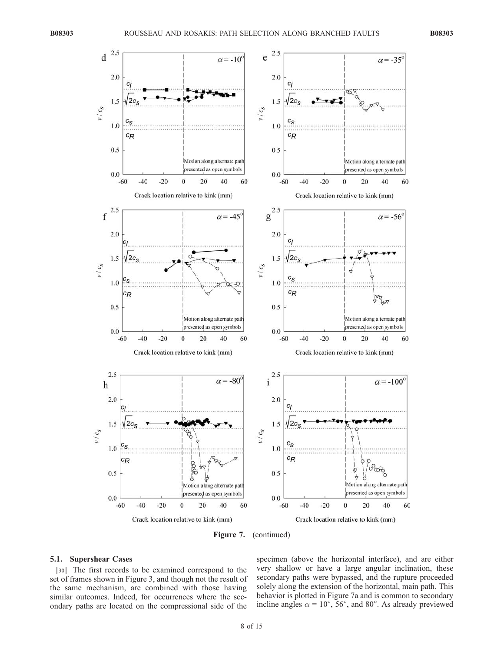

Figure 7. (continued)

#### 5.1. Supershear Cases

[30] The first records to be examined correspond to the set of frames shown in Figure 3, and though not the result of the same mechanism, are combined with those having similar outcomes. Indeed, for occurrences where the secondary paths are located on the compressional side of the

specimen (above the horizontal interface), and are either very shallow or have a large angular inclination, these secondary paths were bypassed, and the rupture proceeded solely along the extension of the horizontal, main path. This behavior is plotted in Figure 7a and is common to secondary incline angles  $\alpha = 10^{\circ}$ , 56°, and 80°. As already previewed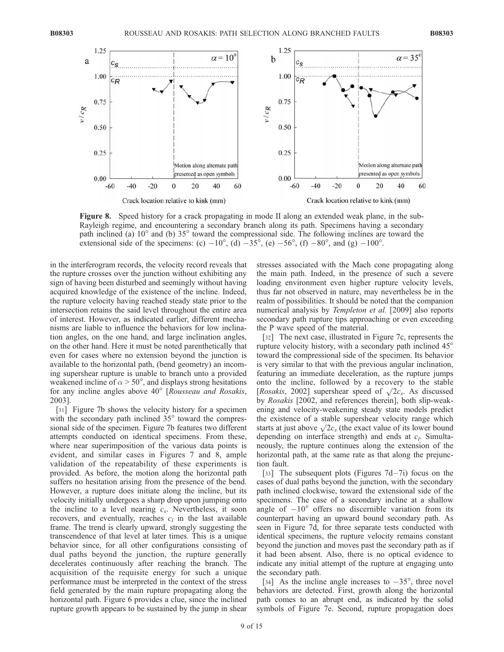

Figure 8. Speed history for a crack propagating in mode II along an extended weak plane, in the sub-Rayleigh regime, and encountering a secondary branch along its path. Specimens having a secondary path inclined (a) 10<sup>°</sup> and (b) 35<sup>°</sup> toward the compressional side. The following inclines are toward the extensional side of the specimens: (c)  $-10^{\circ}$ , (d)  $-35^{\circ}$ , (e)  $-56^{\circ}$ , (f)  $-80^{\circ}$ , and (g)  $-100^{\circ}$ .

in the interferogram records, the velocity record reveals that the rupture crosses over the junction without exhibiting any sign of having been disturbed and seemingly without having acquired knowledge of the existence of the incline. Indeed, the rupture velocity having reached steady state prior to the intersection retains the said level throughout the entire area of interest. However, as indicated earlier, different mechanisms are liable to influence the behaviors for low inclination angles, on the one hand, and large inclination angles, on the other hand. Here it must be noted parenthetically that even for cases where no extension beyond the junction is available to the horizontal path, (bend geometry) an incoming supershear rupture is unable to branch unto a provided weakened incline of  $\alpha$  > 50°, and displays strong hesitations for any incline angles above  $40^{\circ}$  [Rousseau and Rosakis, 2003].

[31] Figure 7b shows the velocity history for a specimen with the secondary path inclined  $35^{\circ}$  toward the compressional side of the specimen. Figure 7b features two different attempts conducted on identical specimens. From these, where near superimposition of the various data points is evident, and similar cases in Figures 7 and 8, ample validation of the repeatability of these experiments is provided. As before, the motion along the horizontal path suffers no hesitation arising from the presence of the bend. However, a rupture does initiate along the incline, but its velocity initially undergoes a sharp drop upon jumping onto the incline to a level nearing  $c_s$ . Nevertheless, it soon recovers, and eventually, reaches  $c_l$  in the last available frame. The trend is clearly upward, strongly suggesting the transcendence of that level at later times. This is a unique behavior since, for all other configurations consisting of dual paths beyond the junction, the rupture generally decelerates continuously after reaching the branch. The acquisition of the requisite energy for such a unique performance must be interpreted in the context of the stress field generated by the main rupture propagating along the horizontal path. Figure 6 provides a clue, since the inclined rupture growth appears to be sustained by the jump in shear

stresses associated with the Mach cone propagating along the main path. Indeed, in the presence of such a severe loading environment even higher rupture velocity levels, thus far not observed in nature, may nevertheless be in the realm of possibilities. It should be noted that the companion numerical analysis by *Templeton et al.* [2009] also reports secondary path rupture tips approaching or even exceeding the P wave speed of the material.

[32] The next case, illustrated in Figure 7c, represents the rupture velocity history, with a secondary path inclined 45 toward the compressional side of the specimen. Its behavior is very similar to that with the previous angular inclination, featuring an immediate deceleration, as the rupture jumps onto the incline, followed by a recovery to the stable [Rosakis, 2002] supershear speed of  $\sqrt{2c_s}$ . As discussed by Rosakis [2002, and references therein], both slip-weakening and velocity-weakening steady state models predict the existence of a stable supershear velocity range which starts at just above  $\sqrt{2c_s}$  (the exact value of its lower bound depending on interface strength) and ends at  $c_l$ . Simultaneously, the rupture continues along the extension of the horizontal path, at the same rate as that along the prejunction fault.

[33] The subsequent plots (Figures  $7d-7i$ ) focus on the cases of dual paths beyond the junction, with the secondary path inclined clockwise, toward the extensional side of the specimens. The case of a secondary incline at a shallow angle of  $-10^{\circ}$  offers no discernible variation from its counterpart having an upward bound secondary path. As seen in Figure 7d, for three separate tests conducted with identical specimens, the rupture velocity remains constant beyond the junction and moves past the secondary path as if it had been absent. Also, there is no optical evidence to indicate any initial attempt of the rupture at engaging unto the secondary path.

[34] As the incline angle increases to  $-35^\circ$ , three novel behaviors are detected. First, growth along the horizontal path comes to an abrupt end, as indicated by the solid symbols of Figure 7e. Second, rupture propagation does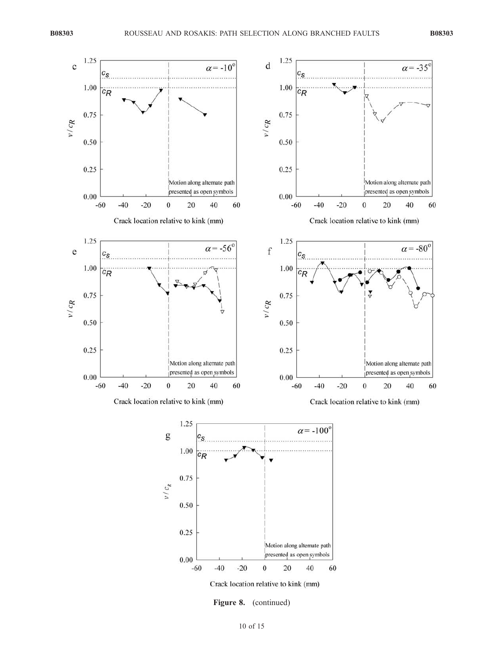

Figure 8. (continued)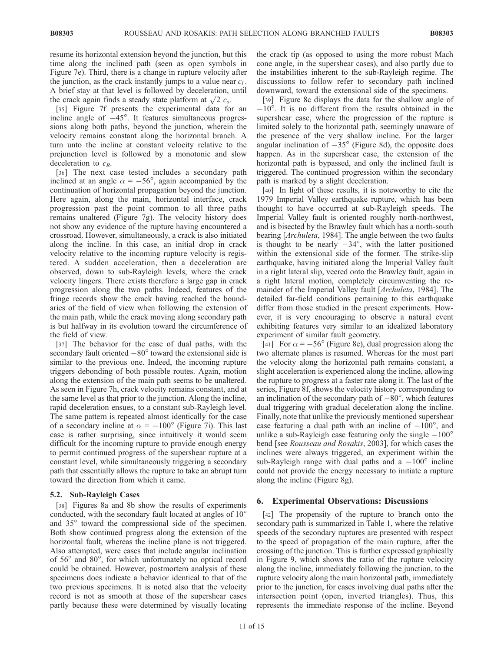resume its horizontal extension beyond the junction, but this time along the inclined path (seen as open symbols in Figure 7e). Third, there is a change in rupture velocity after the junction, as the crack instantly jumps to a value near  $c_l$ . A brief stay at that level is followed by deceleration, until the crack again finds a steady state platform at  $\sqrt{2} c_s$ .

[35] Figure 7f presents the experimental data for an incline angle of  $-45^\circ$ . It features simultaneous progressions along both paths, beyond the junction, wherein the velocity remains constant along the horizontal branch. A turn unto the incline at constant velocity relative to the prejunction level is followed by a monotonic and slow deceleration to  $c_R$ .

[36] The next case tested includes a secondary path inclined at an angle  $\alpha = -56^{\circ}$ , again accompanied by the continuation of horizontal propagation beyond the junction. Here again, along the main, horizontal interface, crack progression past the point common to all three paths remains unaltered (Figure 7g). The velocity history does not show any evidence of the rupture having encountered a crossroad. However, simultaneously, a crack is also initiated along the incline. In this case, an initial drop in crack velocity relative to the incoming rupture velocity is registered. A sudden acceleration, then a deceleration are observed, down to sub-Rayleigh levels, where the crack velocity lingers. There exists therefore a large gap in crack progression along the two paths. Indeed, features of the fringe records show the crack having reached the boundaries of the field of view when following the extension of the main path, while the crack moving along secondary path is but halfway in its evolution toward the circumference of the field of view.

[37] The behavior for the case of dual paths, with the secondary fault oriented  $-80^\circ$  toward the extensional side is similar to the previous one. Indeed, the incoming rupture triggers debonding of both possible routes. Again, motion along the extension of the main path seems to be unaltered. As seen in Figure 7h, crack velocity remains constant, and at the same level as that prior to the junction. Along the incline, rapid deceleration ensues, to a constant sub-Rayleigh level. The same pattern is repeated almost identically for the case of a secondary incline at  $\alpha = -100^{\circ}$  (Figure 7i). This last case is rather surprising, since intuitively it would seem difficult for the incoming rupture to provide enough energy to permit continued progress of the supershear rupture at a constant level, while simultaneously triggering a secondary path that essentially allows the rupture to take an abrupt turn toward the direction from which it came.

# 5.2. Sub-Rayleigh Cases

[38] Figures 8a and 8b show the results of experiments conducted, with the secondary fault located at angles of 10 and 35<sup>°</sup> toward the compressional side of the specimen. Both show continued progress along the extension of the horizontal fault, whereas the incline plane is not triggered. Also attempted, were cases that include angular inclination of 56° and 80°, for which unfortunately no optical record could be obtained. However, postmortem analysis of these specimens does indicate a behavior identical to that of the two previous specimens. It is noted also that the velocity record is not as smooth at those of the supershear cases partly because these were determined by visually locating

the crack tip (as opposed to using the more robust Mach cone angle, in the supershear cases), and also partly due to the instabilities inherent to the sub-Rayleigh regime. The discussions to follow refer to secondary path inclined downward, toward the extensional side of the specimens.

[39] Figure 8c displays the data for the shallow angle of  $-10^{\circ}$ . It is no different from the results obtained in the supershear case, where the progression of the rupture is limited solely to the horizontal path, seemingly unaware of the presence of the very shallow incline. For the larger angular inclination of  $-35^\circ$  (Figure 8d), the opposite does happen. As in the supershear case, the extension of the horizontal path is bypassed, and only the inclined fault is triggered. The continued progression within the secondary path is marked by a slight deceleration.

[40] In light of these results, it is noteworthy to cite the 1979 Imperial Valley earthquake rupture, which has been thought to have occurred at sub-Rayleigh speeds. The Imperial Valley fault is oriented roughly north-northwest, and is bisected by the Brawley fault which has a north-south bearing [Archuleta, 1984]. The angle between the two faults is thought to be nearly  $-34^{\circ}$ , with the latter positioned within the extensional side of the former. The strike-slip earthquake, having initiated along the Imperial Valley fault in a right lateral slip, veered onto the Brawley fault, again in a right lateral motion, completely circumventing the remainder of the Imperial Valley fault [Archuleta, 1984]. The detailed far-field conditions pertaining to this earthquake differ from those studied in the present experiments. However, it is very encouraging to observe a natural event exhibiting features very similar to an idealized laboratory experiment of similar fault geometry.

[41] For  $\alpha = -56^{\circ}$  (Figure 8e), dual progression along the two alternate planes is resumed. Whereas for the most part the velocity along the horizontal path remains constant, a slight acceleration is experienced along the incline, allowing the rupture to progress at a faster rate along it. The last of the series, Figure 8f, shows the velocity history corresponding to an inclination of the secondary path of  $-80^\circ$ , which features dual triggering with gradual deceleration along the incline. Finally, note that unlike the previously mentioned supershear case featuring a dual path with an incline of  $-100^{\circ}$ , and unlike a sub-Rayleigh case featuring only the single  $-100^{\circ}$ bend [see Rousseau and Rosakis, 2003], for which cases the inclines were always triggered, an experiment within the sub-Rayleigh range with dual paths and a  $-100^\circ$  incline could not provide the energy necessary to initiate a rupture along the incline (Figure 8g).

# 6. Experimental Observations: Discussions

[42] The propensity of the rupture to branch onto the secondary path is summarized in Table 1, where the relative speeds of the secondary ruptures are presented with respect to the speed of propagation of the main rupture, after the crossing of the junction. This is further expressed graphically in Figure 9, which shows the ratio of the rupture velocity along the incline, immediately following the junction, to the rupture velocity along the main horizontal path, immediately prior to the junction, for cases involving dual paths after the intersection point (open, inverted triangles). Thus, this represents the immediate response of the incline. Beyond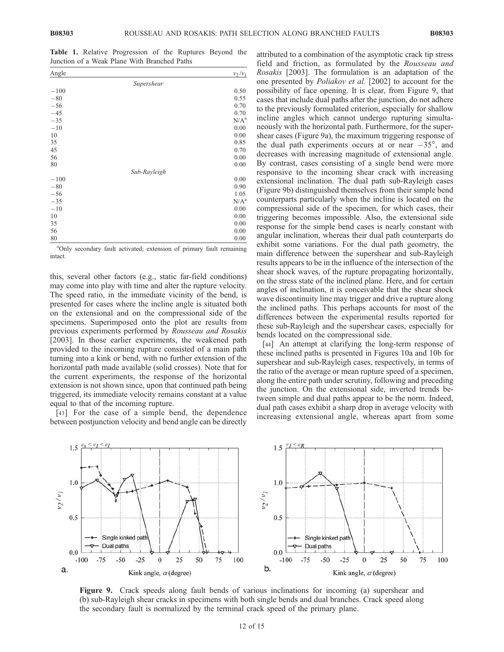Table 1. Relative Progression of the Ruptures Beyond the Junction of a Weak Plane With Branched Paths

| Angle  |              | $v_2/v_1$   |
|--------|--------------|-------------|
|        | Supershear   |             |
| $-100$ |              | 0.50        |
| $-80$  |              | 0.55        |
| $-56$  |              | 0.70        |
| $-45$  |              | 0.70        |
| $-35$  |              | $\rm N/A^a$ |
| $-10$  |              | 0.00        |
| 10     |              | 0.00        |
| 35     |              | 0.85        |
| 45     |              | 0.70        |
| 56     |              | 0.00        |
| 80     |              | 0.00        |
|        | Sub-Rayleigh |             |
| $-100$ |              | 0.00        |
| $-80$  |              | 0.90        |
| $-56$  |              | 1.05        |
| $-35$  |              | $N/A^a$     |
| $-10$  |              | 0.00        |
| 10     |              | 0.00        |
| 35     |              | 0.00        |
| 56     |              | 0.00        |
| 80     |              | 0.00        |

<sup>a</sup>Only secondary fault activated; extension of primary fault remaining intact.

this, several other factors (e.g., static far-field conditions) may come into play with time and alter the rupture velocity. The speed ratio, in the immediate vicinity of the bend, is presented for cases where the incline angle is situated both on the extensional and on the compressional side of the specimens. Superimposed onto the plot are results from previous experiments performed by Rousseau and Rosakis [2003]. In those earlier experiments, the weakened path provided to the incoming rupture consisted of a main path turning into a kink or bend, with no further extension of the horizontal path made available (solid crosses). Note that for the current experiments, the response of the horizontal extension is not shown since, upon that continued path being triggered, its immediate velocity remains constant at a value equal to that of the incoming rupture.

[43] For the case of a simple bend, the dependence between postjunction velocity and bend angle can be directly attributed to a combination of the asymptotic crack tip stress field and friction, as formulated by the Rousseau and Rosakis [2003]. The formulation is an adaptation of the one presented by Poliakov et al. [2002] to account for the possibility of face opening. It is clear, from Figure 9, that cases that include dual paths after the junction, do not adhere to the previously formulated criterion, especially for shallow incline angles which cannot undergo rupturing simultaneously with the horizontal path. Furthermore, for the supershear cases (Figure 9a), the maximum triggering response of the dual path experiments occurs at or near  $-35^\circ$ , and decreases with increasing magnitude of extensional angle. By contrast, cases consisting of a single bend were more responsive to the incoming shear crack with increasing extensional inclination. The dual path sub-Rayleigh cases (Figure 9b) distinguished themselves from their simple bend counterparts particularly when the incline is located on the compressional side of the specimen, for which cases, their triggering becomes impossible. Also, the extensional side response for the simple bend cases is nearly constant with angular inclination, whereas their dual path counterparts do exhibit some variations. For the dual path geometry, the main difference between the supershear and sub-Rayleigh results appears to be in the influence of the intersection of the shear shock waves, of the rupture propagating horizontally, on the stress state of the inclined plane. Here, and for certain angles of inclination, it is conceivable that the shear shock wave discontinuity line may trigger and drive a rupture along the inclined paths. This perhaps accounts for most of the differences between the experimental results reported for these sub-Rayleigh and the supershear cases, especially for bends located on the compressional side.

[44] An attempt at clarifying the long-term response of these inclined paths is presented in Figures 10a and 10b for supershear and sub-Rayleigh cases, respectively, in terms of the ratio of the average or mean rupture speed of a specimen, along the entire path under scrutiny, following and preceding the junction. On the extensional side, inverted trends between simple and dual paths appear to be the norm. Indeed, dual path cases exhibit a sharp drop in average velocity with increasing extensional angle, whereas apart from some



Figure 9. Crack speeds along fault bends of various inclinations for incoming (a) supershear and (b) sub-Rayleigh shear cracks in specimens with both single bends and dual branches. Crack speed along the secondary fault is normalized by the terminal crack speed of the primary plane.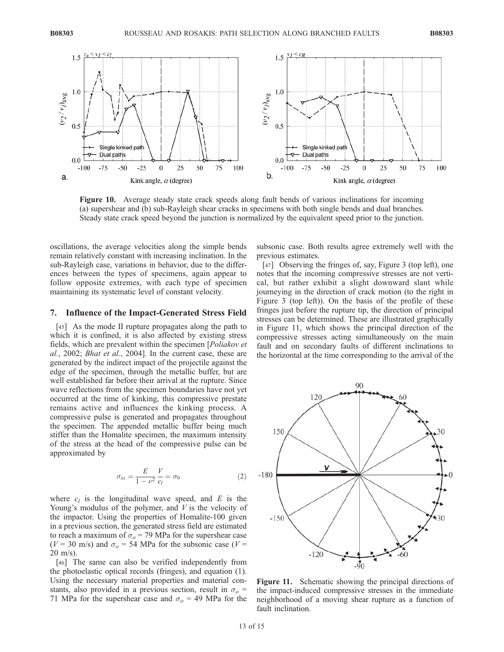

Figure 10. Average steady state crack speeds along fault bends of various inclinations for incoming (a) supershear and (b) sub-Rayleigh shear cracks in specimens with both single bends and dual branches. Steady state crack speed beyond the junction is normalized by the equivalent speed prior to the junction.

oscillations, the average velocities along the simple bends remain relatively constant with increasing inclination. In the sub-Rayleigh case, variations in behavior, due to the differences between the types of specimens, again appear to follow opposite extremes, with each type of specimen maintaining its systematic level of constant velocity.

## 7. Influence of the Impact-Generated Stress Field

[45] As the mode II rupture propagates along the path to which it is confined, it is also affected by existing stress fields, which are prevalent within the specimen [Poliakov et al., 2002; Bhat et al., 2004]. In the current case, these are generated by the indirect impact of the projectile against the edge of the specimen, through the metallic buffer, but are well established far before their arrival at the rupture. Since wave reflections from the specimen boundaries have not yet occurred at the time of kinking, this compressive prestate remains active and influences the kinking process. A compressive pulse is generated and propagates throughout the specimen. The appended metallic buffer being much stiffer than the Homalite specimen, the maximum intensity of the stress at the head of the compressive pulse can be approximated by

$$
\sigma_{xx} = \frac{E}{1 - \nu^2} \frac{V}{c_l} = \sigma_0 \tag{2}
$$

where  $c_l$  is the longitudinal wave speed, and E is the Young's modulus of the polymer, and  $V$  is the velocity of the impactor. Using the properties of Homalite-100 given in a previous section, the generated stress field are estimated to reach a maximum of  $\sigma_o$  = 79 MPa for the supershear case ( $V = 30$  m/s) and  $\sigma_{\rm o} = 54$  MPa for the subsonic case ( $V =$ 20 m/s).

[46] The same can also be verified independently from the photoelastic optical records (fringes), and equation (1). Using the necessary material properties and material constants, also provided in a previous section, result in  $\sigma_{o}$  = 71 MPa for the supershear case and  $\sigma_{o}$  = 49 MPa for the

subsonic case. Both results agree extremely well with the previous estimates.

[47] Observing the fringes of, say, Figure 3 (top left), one notes that the incoming compressive stresses are not vertical, but rather exhibit a slight downward slant while journeying in the direction of crack motion (to the right in Figure 3 (top left)). On the basis of the profile of these fringes just before the rupture tip, the direction of principal stresses can be determined. These are illustrated graphically in Figure 11, which shows the principal direction of the compressive stresses acting simultaneously on the main fault and on secondary faults of different inclinations to the horizontal at the time corresponding to the arrival of the



Figure 11. Schematic showing the principal directions of the impact-induced compressive stresses in the immediate neighborhood of a moving shear rupture as a function of fault inclination.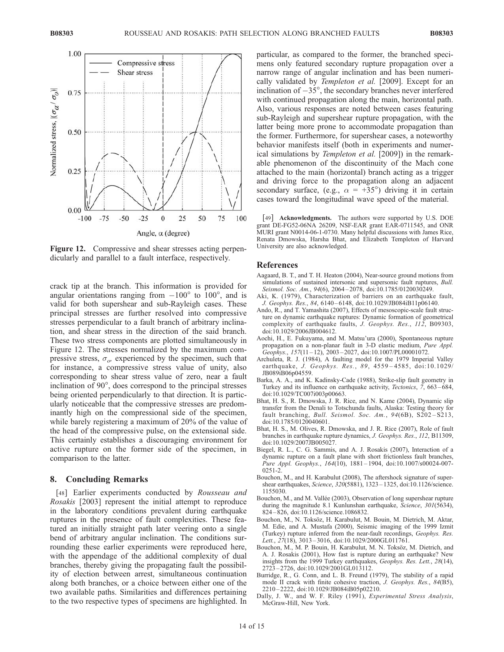

Figure 12. Compressive and shear stresses acting perpendicularly and parallel to a fault interface, respectively.

crack tip at the branch. This information is provided for angular orientations ranging from  $-100^{\circ}$  to  $100^{\circ}$ , and is valid for both supershear and sub-Rayleigh cases. These principal stresses are further resolved into compressive stresses perpendicular to a fault branch of arbitrary inclination, and shear stress in the direction of the said branch. These two stress components are plotted simultaneously in Figure 12. The stresses normalized by the maximum compressive stress,  $\sigma_{\alpha}$ , experienced by the specimen, such that for instance, a compressive stress value of unity, also corresponding to shear stress value of zero, near a fault inclination of  $90^\circ$ , does correspond to the principal stresses being oriented perpendicularly to that direction. It is particularly noticeable that the compressive stresses are predominantly high on the compressional side of the specimen, while barely registering a maximum of 20% of the value of the head of the compressive pulse, on the extensional side. This certainly establishes a discouraging environment for active rupture on the former side of the specimen, in comparison to the latter.

## 8. Concluding Remarks

[48] Earlier experiments conducted by Rousseau and Rosakis [2003] represent the initial attempt to reproduce in the laboratory conditions prevalent during earthquake ruptures in the presence of fault complexities. These featured an initially straight path later veering onto a single bend of arbitrary angular inclination. The conditions surrounding these earlier experiments were reproduced here, with the appendage of the additional complexity of dual branches, thereby giving the propagating fault the possibility of election between arrest, simultaneous continuation along both branches, or a choice between either one of the two available paths. Similarities and differences pertaining to the two respective types of specimens are highlighted. In

particular, as compared to the former, the branched specimens only featured secondary rupture propagation over a narrow range of angular inclination and has been numerically validated by Templeton et al. [2009]. Except for an inclination of  $-35^\circ$ , the secondary branches never interfered with continued propagation along the main, horizontal path. Also, various responses are noted between cases featuring sub-Rayleigh and supershear rupture propagation, with the latter being more prone to accommodate propagation than the former. Furthermore, for supershear cases, a noteworthy behavior manifests itself (both in experiments and numerical simulations by *Templeton et al.* [2009]) in the remarkable phenomenon of the discontinuity of the Mach cone attached to the main (horizontal) branch acting as a trigger and driving force to the propagation along an adjacent secondary surface, (e.g.,  $\alpha = +35^{\circ}$ ) driving it in certain cases toward the longitudinal wave speed of the material.

[49] **Acknowledgments.** The authors were supported by U.S. DOE grant DE-FG52-06NA 26209, NSF-EAR grant EAR-0711545, and ONR MURI grant N0014-06-1-0730. Many helpful discussions with James Rice, Renata Dmowska, Harsha Bhat, and Elizabeth Templeton of Harvard University are also acknowledged.

#### References

- Aagaard, B. T., and T. H. Heaton (2004), Near-source ground motions from simulations of sustained intersonic and supersonic fault ruptures, *Bull.* Seismol. Soc. Am., 94(6), 2064–2078, doi:10.1785/0120030249.
- Aki, K. (1979), Characterization of barriers on an earthquake fault, J. Geophys. Res., 84, 6140 – 6148, doi:10.1029/JB084iB11p06140.
- Ando, R., and T. Yamashita (2007), Effects of mesoscopic-scale fault structure on dynamic earthquake ruptures: Dynamic formation of geometrical complexity of earthquake faults, J. Geophys. Res., 112, B09303, doi:10.1029/2006JB004612.
- Aochi, H., E. Fukuyama, and M. Matsu'ura (2000), Spontaneous rupture propagation on a non-planar fault in 3-D elastic medium, Pure Appl. Geophys., 157(11-12), 2003-2027, doi:10.1007/PL00001072.
- Archuleta, R. J. (1984), A faulting model for the 1979 Imperial Valley earthquake, *J. Geophys. Res.*, 89, 4559-4585, doi:10.1029/ JB089iB06p04559.
- Barka, A. A., and K. Kadinsky-Cade (1988), Strike-slip fault geometry in Turkey and its influence on earthquake activity, Tectonics, 7, 663 – 684, doi:10.1029/TC007i003p00663.
- Bhat, H. S., R. Dmowska, J. R. Rice, and N. Kame (2004), Dynamic slip transfer from the Denali to Totschunda faults, Alaska: Testing theory for fault branching, Bull. Seismol. Soc. Am.,  $94(6B)$ ,  $S202-S213$ , doi:10.1785/0120040601.
- Bhat, H. S., M. Olives, R. Dmowska, and J. R. Rice (2007), Role of fault branches in earthquake rupture dynamics, J. Geophys. Res., 112, B11309, doi:10.1029/2007JB005027.
- Biegel, R. L., C. G. Sammis, and A. J. Rosakis (2007), Interaction of a dynamic rupture on a fault plane with short frictionless fault branches, Pure Appl. Geophys., 164(10), 1881 – 1904, doi:10.1007/s00024-007- 0251-2.
- Bouchon, M., and H. Karabulut (2008), The aftershock signature of supershear earthquakes, Science, 320(5881), 1323-1325, doi:10.1126/science. 1155030.
- Bouchon, M., and M. Vallée (2003), Observation of long supershear rupture during the magnitude 8.1 Kunlunshan earthquake, Science, 301(5634), 824 – 826, doi:10.1126/science.1086832.
- Bouchon, M., N. Toksöz, H. Karabulut, M. Bouin, M. Dietrich, M. Aktar, M. Edie, and A. Mustafa (2000), Seismic imaging of the 1999 Izmit (Turkey) rupture inferred from the near-fault recordings, Geophys. Res. Lett., 27(18), 3013-3016, doi:10.1029/2000GL011761.
- Bouchon, M., M. P. Bouin, H. Karabulut, M. N. Toksöz, M. Dietrich, and A. J. Rosakis (2001), How fast is rupture during an earthquake? New insights from the 1999 Turkey earthquakes, Geophys. Res. Lett., 28(14), 2723 – 2726, doi:10.1029/2001GL013112.
- Burridge, R., G. Conn, and L. B. Freund (1979), The stability of a rapid mode II crack with finite cohesive traction, J. Geophys. Res., 84(B5), 2210 – 2222, doi:10.1029/JB084iB05p02210.
- Dally, J. W., and W. F. Riley (1991), Experimental Stress Analysis, McGraw-Hill, New York.